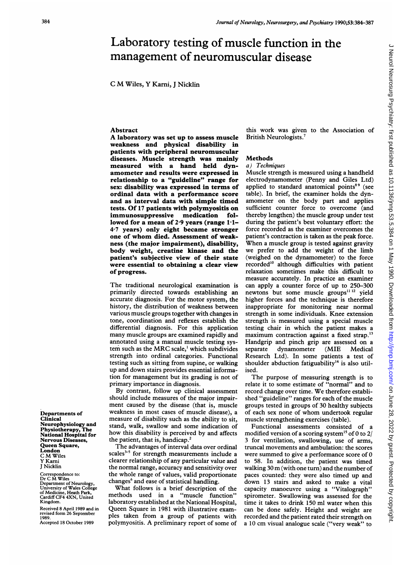# Laboratory testing of muscle function in the management of neuromuscular disease

<sup>C</sup> M Wiles, Y Karni, <sup>J</sup> Nicklin

#### Abstract

A laboratory was set up to assess muscle weakness and physical disability in patients with peripheral neuromuscular diseases. Muscle strength was mainly measured with a hand held dynamometer and results were expressed in relationship to a "guideline" range for sex: disability was expressed in terms of ordinal data with a performance score and as interval data with simple timed tests. Of <sup>17</sup> patients with polymyositis on immunosuppressive medication followed for a mean of 2.9 years (range  $1.1-$ 4-7 years) only eight became stronger one of whom died. Assessment of weakness (the major impairment), disability, body weight, creatine kinase and the patient's subjective view of their state were essential to obtaining a clear view of progress.

The traditional neurological examination is primarily directed towards establishing an accurate diagnosis. For the motor system, the history, the distribution of weakness between various muscle groups together with changes in tone, coordination and reflexes establish the differential diagnosis. For this application many muscle groups are examined rapidly and annotated using a manual muscle testing system such as the MRC scale,' which subdivides strength into ordinal categories. Functional testing such as sitting from supine, or walking up and down stairs provides essential information for management but its grading is not of primary importance in diagnosis.

By contrast, follow up clinical assessment should include measures of the major impairment caused by the disease (that is, muscle weakness in most cases of muscle disease), a measure of disability such as the ability to sit, stand, walk, swallow and some indication of how this disability is perceived by and affects the patient, that is, handicap.<sup>2</sup>

The advantages of interval data over ordinal scales $35$  for strength measurements include a clearer relationship of any particular value and the normal range, accuracy and sensitivity over the whole range of values, valid proportionate changes<sup>6</sup> and ease of statistical handling.

What follows is <sup>a</sup> brief description of the methods used in a "muscle function" laboratory established at the National Hospital, Queen Square in 1981 with illustrative examples taken from a group of patients with polymyositis. A preliminary report of some of

this work was given to the Association of British Neurologists.7

#### Methods

#### a) Techniques

Muscle strength is measured using a handheld electrodynamometer (Penny and Giles Ltd) applied to standard anatomical points<sup>89</sup> (see table). In brief, the examiner holds the dynamometer on the body part and applies sufficient counter force to overcome (and thereby lengthen) the muscle group under test during the patient's best voluntary effort: the force recorded as the examiner overcomes the patient's contraction is taken as the peak force. When <sup>a</sup> muscle group is tested against gravity we prefer to add the weight of the limb (weighed on the dynamometer) to the force recorded'0 although difficulties with patient relaxation sometimes make this difficult to measure accurately. In practice an examiner can apply a counter force of up to 250-300 newtons but some muscle groups<sup>11 12</sup> yield higher forces and the technique is therefore inappropriate for monitoring near normal strength in some individuals. Knee extension strength is measured using a special muscle testing chair in which the patient makes a maximum contraction against a fixed strap.<sup>13</sup> Handgrip and pinch grip are assessed on a separate dynamometer (MIE Medical Research Ltd). In some patients a test of shoulder abduction fatiguability<sup>14</sup> is also utilised.

The purpose of measuring strength is to relate it to some estimate of "normal" and to record change over time. We therefore established "guideline" ranges for each of the muscle groups tested in groups of 30 healthy subjects of each sex none of whom undertook regular muscle strengthening exercises (table).

Functional assessments consisted of a modified version of a scoring system<sup>15</sup> of 0 to 2/ 3 for ventilation, swallowing, use of arms, truncal movements and ambulation: the scores were summed to give <sup>a</sup> performance score of 0 to 58. In addition, the patient was timed walking <sup>30</sup> m (with one turn) and the number of paces counted: they were also timed up and down 13 stairs and asked to make a vital capacity manoeuvre using a "Vitalograph" spirometer. Swallowing was assessed for the time it takes to drink 150 ml water when this can be done safely. Height and weight are recorded and the patient rated their strength on <sup>a</sup> <sup>10</sup> cm visual analogue scale ("very weak" to

Departments of Clinical Neurophysiology and Physiotherapy, The National Hospital for Nervous Diseases, Queen Square, London <sup>C</sup> M Wiles Y Karni J Nicklin

Correspondence to: Dr C M Wiles Department of Neurology, University of Wales College of Medicine, Heath Park, Cardiff CF4 4XN, United Kingdom.

Received 8 April 1989 and in revised form 26 September 1989. Accepted 18 October 1989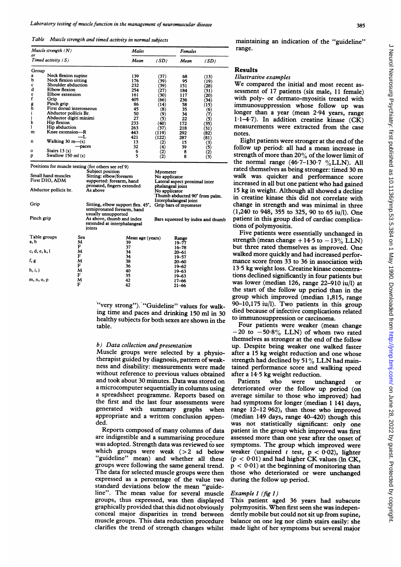Table Muscle strength and timed activity in normal subjects

|                            | Muscle strength $(N)$                 |                                                                         | Males                                                           |          | Females                                                                                                                                       |                   |  |
|----------------------------|---------------------------------------|-------------------------------------------------------------------------|-----------------------------------------------------------------|----------|-----------------------------------------------------------------------------------------------------------------------------------------------|-------------------|--|
| or<br>Timed activity $(S)$ |                                       |                                                                         | Mean                                                            | (SD)     | Mean                                                                                                                                          | (SD)              |  |
| Group                      |                                       |                                                                         |                                                                 |          |                                                                                                                                               |                   |  |
| a                          | Neck flexion supine                   | 139                                                                     |                                                                 | (37)     | 68                                                                                                                                            | (13)              |  |
| b                          | Neck flexion sitting                  | 176                                                                     |                                                                 | (39)     | 95                                                                                                                                            | (19)              |  |
| c                          | Shoulder abduction                    |                                                                         | 232                                                             | (39)     | 151                                                                                                                                           | (28)              |  |
| d                          | Elbow flexion                         | 254                                                                     |                                                                 | (27)     | 184                                                                                                                                           | (31)              |  |
|                            | Elbow extension                       | 161                                                                     |                                                                 | (30)     | 117                                                                                                                                           | (20)              |  |
| e<br>f                     | Grip                                  | 405                                                                     |                                                                 | (66)     | 236                                                                                                                                           | (34)              |  |
|                            | Pinch grip                            |                                                                         | 86                                                              | (14)     | 58                                                                                                                                            | (15)              |  |
| $\frac{g}{h}$              | First dorsal interosseous             |                                                                         | 45                                                              | (8)      | 35                                                                                                                                            | (6)               |  |
| i                          | Abductor pollicis Br.                 |                                                                         | 50                                                              | (9)      | 34                                                                                                                                            | (7)               |  |
| j                          | Abductor digiti minimi                |                                                                         | 27                                                              | (5)      | 22                                                                                                                                            | (5)               |  |
| k                          | Hip flexion                           |                                                                         | 233                                                             | (40)     | 172                                                                                                                                           | (35)              |  |
| ı                          | Hip abduction                         |                                                                         | 263                                                             | (37)     | 218                                                                                                                                           | (31)              |  |
| m                          | Knee extension---R                    | 443                                                                     |                                                                 | (119)    | 292                                                                                                                                           | (82)              |  |
|                            |                                       | -L<br>421                                                               |                                                                 | (122)    | 287                                                                                                                                           | (81)              |  |
| n                          | Walking $30 \text{ m}$ — $\text{(s)}$ | 13                                                                      |                                                                 | (2)      | 15                                                                                                                                            | (3)               |  |
|                            |                                       | 32<br>-paces                                                            |                                                                 | (4)      | 39                                                                                                                                            | (5)               |  |
| $\mathbf{o}$               | Stairs $13(s)$                        |                                                                         | 6                                                               | (2)      | 8                                                                                                                                             | $\left( 2\right)$ |  |
| p                          | Swallow 150 ml (s)                    |                                                                         | 5                                                               | (2)      | 8                                                                                                                                             | (3)               |  |
|                            |                                       | Positions for muscle testing (for others see ref 9)<br>Subject position |                                                                 | Myometer |                                                                                                                                               |                   |  |
|                            | Small hand muscles                    | Sitting: elbow/forearm                                                  |                                                                 |          |                                                                                                                                               |                   |  |
| First DIO, ADM             |                                       | supported: forearm, hand<br>pronated, fingers extended<br>As above      |                                                                 |          | No applicator<br>Lateral aspect proximal inter<br>phalangeal joint<br>No applicator<br>Thumb abducted 90° from palm.<br>Interphalangeal joint |                   |  |
| Abductor pollicis br.      |                                       |                                                                         |                                                                 |          |                                                                                                                                               |                   |  |
| Grip                       |                                       |                                                                         | Sitting, elbow support flex. 45°,<br>semipronated forearm, hand |          | Grip bars of myometer                                                                                                                         |                   |  |

semipronated forearm, hand usually unsupported As above, thumb and index extended at interphalangeal joints Mean age (yea<br>37<br>37<br>34<br>38<br>36<br>40<br>42<br>42 Bars squeezed by index and thumb Range<br>10-77 19-77 16-78 20-61 -<br>19-57 20-60 19-62 19-63 19-63 17-66 21-66 Pinch grip Table groups a, b c, d, e, k, <sup>1</sup> f, g h, i, <sup>j</sup> m, n, o, p Sex<br>MF MF MF MF<br>F MF MF

> "very strong"). "Guideline" values for walking time and paces and drinking 150 ml in 30 healthy subjects for both sexes are shown in the table.

# b) Data collection and presentation

Muscle groups were selected by <sup>a</sup> physiotherapist guided by diagnosis, pattern of weakness and disability: measurements were made without reference to previous values obtained and took about 30 minutes. Data was stored on a microcomputer sequentially in columns using a spreadsheet programme. Reports based on the first and the last four assessments were generated with summary graphs when appropriate and a written conclusion appended.

Reports composed of many columns of data are indigestible and a summarising procedure was adopted. Strength data was reviewed to see which groups were weak  $(> 2 \text{ sd below})$ "guideline" mean) and whether all these groups were following the same general trend. The data for selected muscle groups were then expressed as a percentage of the value two standard deviations below the mean "guideline". The mean value for several muscle groups, thus expressed, was then displayed graphically provided that this did not obviously conceal major disparities in trend between muscle groups. This data reduction procedure clarifies the trend of strength changes whilst maintaining an indication of the "guideline" range.

# Results

#### Illustrative examples

We compared the initial and most recent assessment of 17 patients (six male, <sup>11</sup> female) with poly- or dermato-myositis treated with immunosuppression whose follow up was longer than a year (mean 2.94 years, range 1.1-4.7). In addition creatine kinase  $(CK)$ measurements were extracted from the case notes.

Eight patients were stronger at the end of the follow up period: all had <sup>a</sup> mean increase in strength of more than 20% of the lower limit of the normal range  $(46.7-130.7 \text{ }\% LLN)$ . All rated themselves as being stronger: timed <sup>30</sup> m walk was quicker and performance score increased in all but one patient who had gained 15 kg in weight. Although all showed a decline in creatine kinase this did not correlate with change in strength and was minimal in three (1,240 to 948, 355 to 325, 90 to 65 iu/l). One patient in this group died of cardiac complica tions of polymyositis.

Five patients were essentially unchanged in strength (mean change  $+14.5$  to  $-13\%$  LLN) but three rated themselves as improved. One walked more quickly and had increased performance score from 33 to 36 in association with 13 5 kg weight loss. Creatine kinase concentrations declined significantly in four patients but was lower (median 126, range 22-910 iu/l) at the start of the follow up period than in the group which improved (median 1,815, range 90-10,175 iu/l). Two patients in this group died because of infective complications related to immunosuppression or carcinoma.

Four patients were weaker (mean change  $-20$  to  $-50.8\%$  LLN) of whom two rated themselves as stronger at the end of the follow up. Despite being weaker one walked faster after a 15 kg weight reduction and one whose strength had declined by  $51\%$  LLN had maintained performance score and walking speed after a 14.5 kg weight reduction.<br>Patients who were unchanged

Patients who were unchanged or deteriorated over the follow up period (on average similar to those who improved) had had symptoms for longer (median <sup>1</sup> <sup>141</sup> days, range 12-12 962), than those who improved (median 149 days, range 40-420) though this was not statistically significant: only one patient in the group which improved was first assessed more than one year after the onset of symptoms. The group which improved were weaker (unpaired  $t$  test,  $p < 0.02$ ), lighter  $(p < 0.01)$  and had higher CK values (ln CK,  $p < 0.01$ ) at the beginning of monitoring than those who deteriorated or were unchanged during the follow up period.

## Example <sup>1</sup> (fig 1)

This patient aged 36 years had subacute polymyositis. When first seen she was independently mobile but could not sit up from supine, balance on one leg nor climb stairs easily: she made light of her symptoms but several major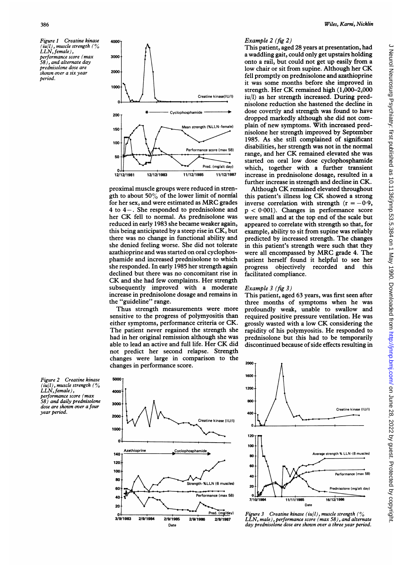Figure I Creatine kinase (iu|l), muscle strength (%)<br>LLN, female), performance score (max 58), and alternate day prednisolone dose are shown over a six year period.



proximal muscle groups were reduced in strength to about  $50\%$  of the lower limit of normal for her sex, and were estimated as MRC grades 4 to 4-. She responded to prednisolone and her CK fell to normal. As prednisolone was reduced in early 1983 she became weaker again, this being anticipated by a steep rise in CK, but there was no change in functional ability and she denied feeling worse. She did not tolerate azathioprine and was started on oral cyclophosphamide and increased prednisolone to which she responded. In early 1985 her strength again declined but there was no concomitant rise in CK and she had few complaints. Her strength subsequently improved with a moderate increase in prednisolone dosage and remains in the "guideline" range.

Thus strength measurements were more sensitive to the progress of polymyositis than either symptoms, performance criteria or CK. The patient never regained the strength she had in her original remission although she was able to lead an active and full life. Her CK did not predict her second relapse. Strength changes were large in comparison to the changes in performance score.

# Example 2 (fig 2)

This patient, aged 28 years at presentation, had a waddling gait, could only get upstairs holding onto a rail, but could not get up easily from a low chair or sit from supine. Although her CK fell promptly on prednisolone and azathioprine it was some months before she improved in strength. Her CK remained high (1,000-2,000 iu/l) as her strength increased. During prednisolone reduction she hastened the decline in dose covertly and strength was found to have dropped markedly although she did not complain of new symptoms. With increased prednisolone her strength improved by September 1985. As she still complained of significant disabilities, her strength was not in the normal range, and her CK remained elevated she was started on oral low dose cyclophosphamide which, together with a further transient increase in prednisolone dosage, resulted in a further increase in strength and decline in CK.

Although CK remained elevated throughout this patient's illness log CK showed <sup>a</sup> strong inverse correlation with strength  $(r = -0.9)$ ,  $p < 0.001$ ). Changes in performance score were small and at the top end of the scale but appeared to correlate with strength so that, for example, ability to sit from supine was reliably predicted by increased strength. The changes in this patient's strength were such that they were all encompassed by MRC grade 4. The patient herself found it helpful to see her progress objectively recorded and this facilitated compliance.

#### Example 3 (fig 3)

This patient, aged 63 years, was first seen after three months of symptoms when he was profoundly weak, unable to swallow and required positive pressure ventilation. He was grossly wasted with <sup>a</sup> low CK considering the rapidity of his polymyositis. He responded to prednisolone but this had to be temporarily discontinued because of side effects resulting in







Figure 3 Creatine kinase (iu/l), muscle strength ( $\%$ LLN, male), performance score (max 58), and alternate day prednisolone dose are shown over a three year period.